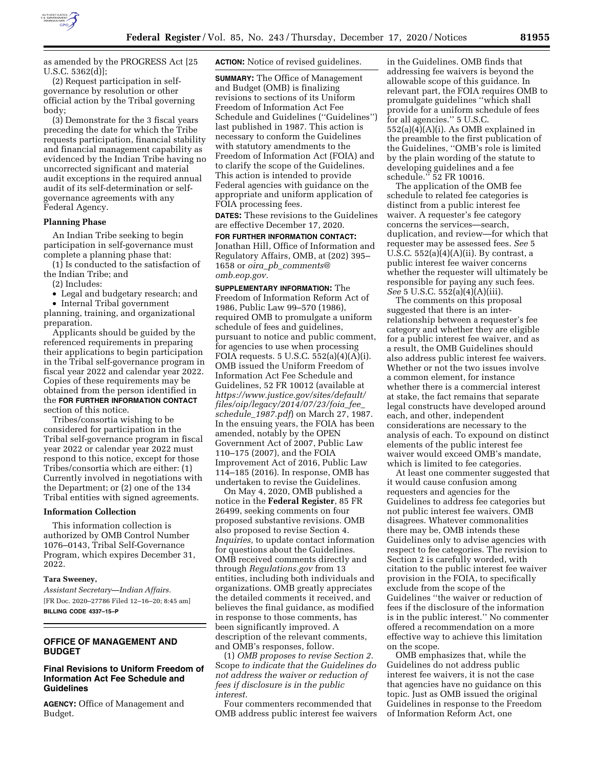

as amended by the PROGRESS Act [25 U.S.C. 5362(d)];

(2) Request participation in selfgovernance by resolution or other official action by the Tribal governing body;

(3) Demonstrate for the 3 fiscal years preceding the date for which the Tribe requests participation, financial stability and financial management capability as evidenced by the Indian Tribe having no uncorrected significant and material audit exceptions in the required annual audit of its self-determination or selfgovernance agreements with any Federal Agency.

### **Planning Phase**

An Indian Tribe seeking to begin participation in self-governance must complete a planning phase that:

(1) Is conducted to the satisfaction of the Indian Tribe; and

(2) Includes:

• Legal and budgetary research; and

• Internal Tribal government planning, training, and organizational preparation.

Applicants should be guided by the referenced requirements in preparing their applications to begin participation in the Tribal self-governance program in fiscal year 2022 and calendar year 2022. Copies of these requirements may be obtained from the person identified in the **FOR FURTHER INFORMATION CONTACT** section of this notice.

Tribes/consortia wishing to be considered for participation in the Tribal self-governance program in fiscal year 2022 or calendar year 2022 must respond to this notice, except for those Tribes/consortia which are either: (1) Currently involved in negotiations with the Department; or (2) one of the 134 Tribal entities with signed agreements.

### **Information Collection**

This information collection is authorized by OMB Control Number 1076–0143, Tribal Self-Governance Program, which expires December 31, 2022.

#### **Tara Sweeney,**

*Assistant Secretary—Indian Affairs.*  [FR Doc. 2020–27786 Filed 12–16–20; 8:45 am] **BILLING CODE 4337–15–P** 

## **OFFICE OF MANAGEMENT AND BUDGET**

# **Final Revisions to Uniform Freedom of Information Act Fee Schedule and Guidelines**

**AGENCY:** Office of Management and Budget.

**ACTION:** Notice of revised guidelines.

**SUMMARY:** The Office of Management and Budget (OMB) is finalizing revisions to sections of its Uniform Freedom of Information Act Fee Schedule and Guidelines (''Guidelines'') last published in 1987. This action is necessary to conform the Guidelines with statutory amendments to the Freedom of Information Act (FOIA) and to clarify the scope of the Guidelines. This action is intended to provide Federal agencies with guidance on the appropriate and uniform application of FOIA processing fees.

**DATES:** These revisions to the Guidelines are effective December 17, 2020.

**FOR FURTHER INFORMATION CONTACT:**  Jonathan Hill, Office of Information and Regulatory Affairs, OMB, at (202) 395– 1658 or *oira*\_*pb*\_*[comments@](mailto:oira_pb_comments@omb.eop.gov) [omb.eop.gov.](mailto:oira_pb_comments@omb.eop.gov)* 

**SUPPLEMENTARY INFORMATION:** The Freedom of Information Reform Act of 1986, Public Law 99–570 (1986), required OMB to promulgate a uniform schedule of fees and guidelines, pursuant to notice and public comment, for agencies to use when processing FOIA requests. 5 U.S.C.  $552(a)(4)(A)(i)$ . OMB issued the Uniform Freedom of Information Act Fee Schedule and Guidelines, 52 FR 10012 (available at *[https://www.justice.gov/sites/default/](https://www.justice.gov/sites/default/files/oip/legacy/2014/07/23/foia_fee_schedule_1987.pdf) [files/oip/legacy/2014/07/23/foia](https://www.justice.gov/sites/default/files/oip/legacy/2014/07/23/foia_fee_schedule_1987.pdf)*\_*fee*\_ *[schedule](https://www.justice.gov/sites/default/files/oip/legacy/2014/07/23/foia_fee_schedule_1987.pdf)*\_*1987.pdf*) on March 27, 1987. In the ensuing years, the FOIA has been amended, notably by the OPEN Government Act of 2007, Public Law 110–175 (2007), and the FOIA Improvement Act of 2016, Public Law 114–185 (2016). In response, OMB has undertaken to revise the Guidelines.

On May 4, 2020, OMB published a notice in the **Federal Register**, 85 FR 26499, seeking comments on four proposed substantive revisions. OMB also proposed to revise Section 4. *Inquiries,* to update contact information for questions about the Guidelines. OMB received comments directly and through *Regulations.gov* from 13 entities, including both individuals and organizations. OMB greatly appreciates the detailed comments it received, and believes the final guidance, as modified in response to those comments, has been significantly improved. A description of the relevant comments, and OMB's responses, follow.

(1) *OMB proposes to revise Section 2.*  Scope *to indicate that the Guidelines do not address the waiver or reduction of fees if disclosure is in the public interest.* 

Four commenters recommended that OMB address public interest fee waivers

in the Guidelines. OMB finds that addressing fee waivers is beyond the allowable scope of this guidance. In relevant part, the FOIA requires OMB to promulgate guidelines ''which shall provide for a uniform schedule of fees for all agencies.'' 5 U.S.C. 552(a)(4)(A)(i). As OMB explained in the preamble to the first publication of the Guidelines, ''OMB's role is limited by the plain wording of the statute to developing guidelines and a fee schedule.'' 52 FR 10016.

The application of the OMB fee schedule to related fee categories is distinct from a public interest fee waiver. A requester's fee category concerns the services—search, duplication, and review—for which that requester may be assessed fees. *See* 5 U.S.C.  $552(a)(4)(A)(ii)$ . By contrast, a public interest fee waiver concerns whether the requester will ultimately be responsible for paying any such fees. *See* 5 U.S.C. 552(a)(4)(A)(iii).

The comments on this proposal suggested that there is an interrelationship between a requester's fee category and whether they are eligible for a public interest fee waiver, and as a result, the OMB Guidelines should also address public interest fee waivers. Whether or not the two issues involve a common element, for instance whether there is a commercial interest at stake, the fact remains that separate legal constructs have developed around each, and other, independent considerations are necessary to the analysis of each. To expound on distinct elements of the public interest fee waiver would exceed OMB's mandate, which is limited to fee categories.

At least one commenter suggested that it would cause confusion among requesters and agencies for the Guidelines to address fee categories but not public interest fee waivers. OMB disagrees. Whatever commonalities there may be, OMB intends these Guidelines only to advise agencies with respect to fee categories. The revision to Section 2 is carefully worded, with citation to the public interest fee waiver provision in the FOIA, to specifically exclude from the scope of the Guidelines ''the waiver or reduction of fees if the disclosure of the information is in the public interest.'' No commenter offered a recommendation on a more effective way to achieve this limitation on the scope.

OMB emphasizes that, while the Guidelines do not address public interest fee waivers, it is not the case that agencies have no guidance on this topic. Just as OMB issued the original Guidelines in response to the Freedom of Information Reform Act, one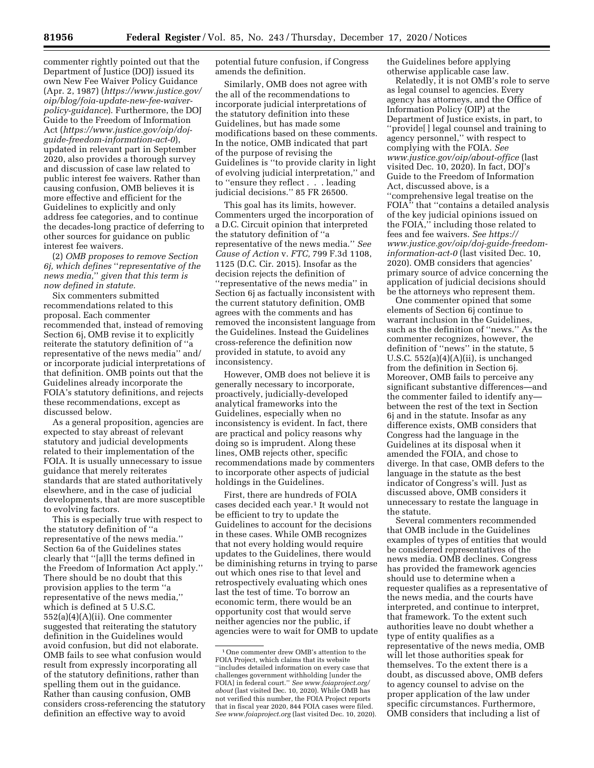commenter rightly pointed out that the Department of Justice (DOJ) issued its own New Fee Waiver Policy Guidance (Apr. 2, 1987) (*[https://www.justice.gov/](https://www.justice.gov/oip/blog/foia-update-new-fee-waiver-policy-guidance)  [oip/blog/foia-update-new-fee-waiver](https://www.justice.gov/oip/blog/foia-update-new-fee-waiver-policy-guidance)[policy-guidance](https://www.justice.gov/oip/blog/foia-update-new-fee-waiver-policy-guidance)*). Furthermore, the DOJ Guide to the Freedom of Information Act (*[https://www.justice.gov/oip/doj](https://www.justice.gov/oip/doj-guide-freedom-information-act-0)[guide-freedom-information-act-0](https://www.justice.gov/oip/doj-guide-freedom-information-act-0)*), updated in relevant part in September 2020, also provides a thorough survey and discussion of case law related to public interest fee waivers. Rather than causing confusion, OMB believes it is more effective and efficient for the Guidelines to explicitly and only address fee categories, and to continue the decades-long practice of deferring to other sources for guidance on public interest fee waivers.

(2) *OMB proposes to remove Section 6j, which defines* ''*representative of the news media,*'' *given that this term is now defined in statute.* 

Six commenters submitted recommendations related to this proposal. Each commenter recommended that, instead of removing Section 6j, OMB revise it to explicitly reiterate the statutory definition of ''a representative of the news media'' and/ or incorporate judicial interpretations of that definition. OMB points out that the Guidelines already incorporate the FOIA's statutory definitions, and rejects these recommendations, except as discussed below.

As a general proposition, agencies are expected to stay abreast of relevant statutory and judicial developments related to their implementation of the FOIA. It is usually unnecessary to issue guidance that merely reiterates standards that are stated authoritatively elsewhere, and in the case of judicial developments, that are more susceptible to evolving factors.

This is especially true with respect to the statutory definition of ''a representative of the news media.'' Section 6a of the Guidelines states clearly that ''[a]ll the terms defined in the Freedom of Information Act apply.'' There should be no doubt that this provision applies to the term ''a representative of the news media,'' which is defined at 5 U.S.C. 552(a)(4)(A)(ii). One commenter suggested that reiterating the statutory definition in the Guidelines would avoid confusion, but did not elaborate. OMB fails to see what confusion would result from expressly incorporating all of the statutory definitions, rather than spelling them out in the guidance. Rather than causing confusion, OMB considers cross-referencing the statutory definition an effective way to avoid

potential future confusion, if Congress amends the definition.

Similarly, OMB does not agree with the all of the recommendations to incorporate judicial interpretations of the statutory definition into these Guidelines, but has made some modifications based on these comments. In the notice, OMB indicated that part of the purpose of revising the Guidelines is ''to provide clarity in light of evolving judicial interpretation,'' and to ''ensure they reflect . . . leading judicial decisions.'' 85 FR 26500.

This goal has its limits, however. Commenters urged the incorporation of a D.C. Circuit opinion that interpreted the statutory definition of ''a representative of the news media.'' *See Cause of Action* v. *FTC,* 799 F.3d 1108, 1125 (D.C. Cir. 2015). Insofar as the decision rejects the definition of ''representative of the news media'' in Section 6j as factually inconsistent with the current statutory definition, OMB agrees with the comments and has removed the inconsistent language from the Guidelines. Instead the Guidelines cross-reference the definition now provided in statute, to avoid any inconsistency.

However, OMB does not believe it is generally necessary to incorporate, proactively, judicially-developed analytical frameworks into the Guidelines, especially when no inconsistency is evident. In fact, there are practical and policy reasons why doing so is imprudent. Along these lines, OMB rejects other, specific recommendations made by commenters to incorporate other aspects of judicial holdings in the Guidelines.

First, there are hundreds of FOIA cases decided each year.1 It would not be efficient to try to update the Guidelines to account for the decisions in these cases. While OMB recognizes that not every holding would require updates to the Guidelines, there would be diminishing returns in trying to parse out which ones rise to that level and retrospectively evaluating which ones last the test of time. To borrow an economic term, there would be an opportunity cost that would serve neither agencies nor the public, if agencies were to wait for OMB to update the Guidelines before applying otherwise applicable case law.

Relatedly, it is not OMB's role to serve as legal counsel to agencies. Every agency has attorneys, and the Office of Information Policy (OIP) at the Department of Justice exists, in part, to ''provide[ ] legal counsel and training to agency personnel,'' with respect to complying with the FOIA. *See [www.justice.gov/oip/about-office](http://www.justice.gov/oip/about-office)* (last visited Dec. 10, 2020). In fact, DOJ's Guide to the Freedom of Information Act, discussed above, is a ''comprehensive legal treatise on the FOIA'' that ''contains a detailed analysis of the key judicial opinions issued on the FOIA,'' including those related to fees and fee waivers. *See [https://](https://www.justice.gov/oip/doj-guide-freedom-information-act-0) [www.justice.gov/oip/doj-guide-freedom](https://www.justice.gov/oip/doj-guide-freedom-information-act-0)[information-act-0](https://www.justice.gov/oip/doj-guide-freedom-information-act-0)* (last visited Dec. 10, 2020). OMB considers that agencies' primary source of advice concerning the application of judicial decisions should be the attorneys who represent them.

One commenter opined that some elements of Section 6j continue to warrant inclusion in the Guidelines, such as the definition of ''news.'' As the commenter recognizes, however, the definition of ''news'' in the statute, 5 U.S.C.  $552(a)(4)(A)(ii)$ , is unchanged from the definition in Section 6j. Moreover, OMB fails to perceive any significant substantive differences—and the commenter failed to identify any between the rest of the text in Section 6j and in the statute. Insofar as any difference exists, OMB considers that Congress had the language in the Guidelines at its disposal when it amended the FOIA, and chose to diverge. In that case, OMB defers to the language in the statute as the best indicator of Congress's will. Just as discussed above, OMB considers it unnecessary to restate the language in the statute.

Several commenters recommended that OMB include in the Guidelines examples of types of entities that would be considered representatives of the news media. OMB declines. Congress has provided the framework agencies should use to determine when a requester qualifies as a representative of the news media, and the courts have interpreted, and continue to interpret, that framework. To the extent such authorities leave no doubt whether a type of entity qualifies as a representative of the news media, OMB will let those authorities speak for themselves. To the extent there is a doubt, as discussed above, OMB defers to agency counsel to advise on the proper application of the law under specific circumstances. Furthermore, OMB considers that including a list of

<sup>1</sup>One commenter drew OMB's attention to the FOIA Project, which claims that its website ''includes detailed information on every case that challenges government withholding [under the FOIA] in federal court.'' *See [www.foiaproject.org/](http://www.foiaproject.org/about) [about](http://www.foiaproject.org/about)* (last visited Dec. 10, 2020). While OMB has not verified this number, the FOIA Project reports that in fiscal year 2020, 844 FOIA cases were filed. *See [www.foiaproject.org](http://www.foiaproject.org)* (last visited Dec. 10, 2020).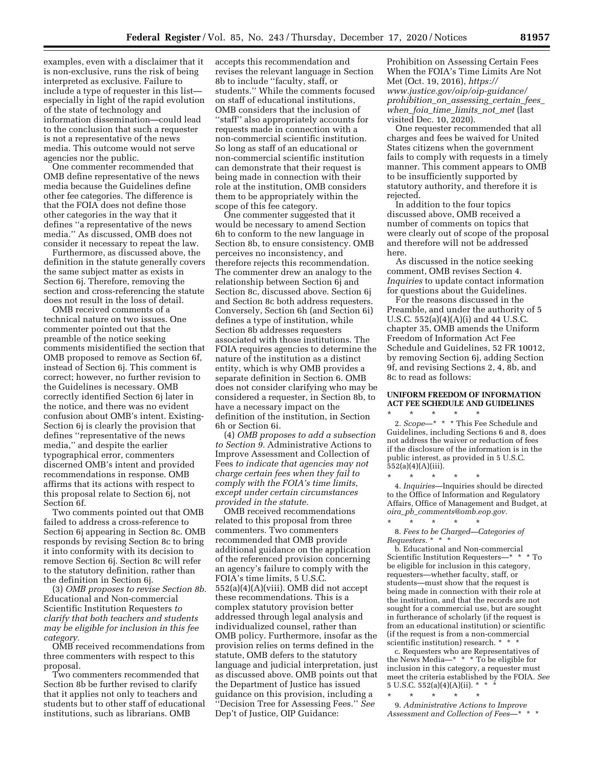examples, even with a disclaimer that it is non-exclusive, runs the risk of being interpreted as exclusive. Failure to include a type of requester in this list especially in light of the rapid evolution of the state of technology and information dissemination—could lead to the conclusion that such a requester is not a representative of the news media. This outcome would not serve agencies nor the public.

One commenter recommended that OMB define representative of the news media because the Guidelines define other fee categories. The difference is that the FOIA does not define those other categories in the way that it defines ''a representative of the news media.'' As discussed, OMB does not consider it necessary to repeat the law.

Furthermore, as discussed above, the definition in the statute generally covers the same subject matter as exists in Section 6j. Therefore, removing the section and cross-referencing the statute does not result in the loss of detail.

OMB received comments of a technical nature on two issues. One commenter pointed out that the preamble of the notice seeking comments misidentified the section that OMB proposed to remove as Section 6f, instead of Section 6j. This comment is correct; however, no further revision to the Guidelines is necessary. OMB correctly identified Section 6j later in the notice, and there was no evident confusion about OMB's intent. Existing-Section 6j is clearly the provision that defines ''representative of the news media,'' and despite the earlier typographical error, commenters discerned OMB's intent and provided recommendations in response. OMB affirms that its actions with respect to this proposal relate to Section 6j, not Section 6f.

Two comments pointed out that OMB failed to address a cross-reference to Section 6j appearing in Section 8c. OMB responds by revising Section 8c to bring it into conformity with its decision to remove Section 6j. Section 8c will refer to the statutory definition, rather than the definition in Section 6j.

(3) *OMB proposes to revise Section 8b.*  Educational and Non-commercial Scientific Institution Requesters *to clarify that both teachers and students may be eligible for inclusion in this fee category.* 

OMB received recommendations from three commenters with respect to this proposal.

Two commenters recommended that Section 8b be further revised to clarify that it applies not only to teachers and students but to other staff of educational institutions, such as librarians. OMB

accepts this recommendation and revises the relevant language in Section 8b to include ''faculty, staff, or students.'' While the comments focused on staff of educational institutions, OMB considers that the inclusion of ''staff'' also appropriately accounts for requests made in connection with a non-commercial scientific institution. So long as staff of an educational or non-commercial scientific institution can demonstrate that their request is being made in connection with their role at the institution, OMB considers them to be appropriately within the scope of this fee category.

One commenter suggested that it would be necessary to amend Section 6h to conform to the new language in Section 8b, to ensure consistency. OMB perceives no inconsistency, and therefore rejects this recommendation. The commenter drew an analogy to the relationship between Section 6j and Section 8c, discussed above. Section 6j and Section 8c both address requesters. Conversely, Section 6h (and Section 6i) defines a type of institution, while Section 8b addresses requesters associated with those institutions. The FOIA requires agencies to determine the nature of the institution as a distinct entity, which is why OMB provides a separate definition in Section 6. OMB does not consider clarifying who may be considered a requester, in Section 8b, to have a necessary impact on the definition of the institution, in Section 6h or Section 6i.

(4) *OMB proposes to add a subsection to Section 9.* Administrative Actions to Improve Assessment and Collection of Fees *to indicate that agencies may not charge certain fees when they fail to comply with the FOIA's time limits, except under certain circumstances provided in the statute.* 

OMB received recommendations related to this proposal from three commenters. Two commenters recommended that OMB provide additional guidance on the application of the referenced provision concerning an agency's failure to comply with the FOIA's time limits, 5 U.S.C. 552(a)(4)(A)(viii). OMB did not accept these recommendations. This is a complex statutory provision better addressed through legal analysis and individualized counsel, rather than OMB policy. Furthermore, insofar as the provision relies on terms defined in the statute, OMB defers to the statutory language and judicial interpretation, just as discussed above. OMB points out that the Department of Justice has issued guidance on this provision, including a ''Decision Tree for Assessing Fees.'' *See*  Dep't of Justice, OIP Guidance:

Prohibition on Assessing Certain Fees When the FOIA's Time Limits Are Not Met (Oct. 19, 2016), *[https://](https://www.justice.gov/oip/oip-guidance/prohibition_on_assessing_certain_fees_when_foia_time_limits_not_met) [www.justice.gov/oip/oip-guidance/](https://www.justice.gov/oip/oip-guidance/prohibition_on_assessing_certain_fees_when_foia_time_limits_not_met)  [prohibition](https://www.justice.gov/oip/oip-guidance/prohibition_on_assessing_certain_fees_when_foia_time_limits_not_met)*\_*on*\_*assessing*\_*certain*\_*fees*\_ *when*\_*foia*\_*time*\_*[limits](https://www.justice.gov/oip/oip-guidance/prohibition_on_assessing_certain_fees_when_foia_time_limits_not_met)*\_*not*\_*met* (last visited Dec. 10, 2020).

One requester recommended that all charges and fees be waived for United States citizens when the government fails to comply with requests in a timely manner. This comment appears to OMB to be insufficiently supported by statutory authority, and therefore it is rejected.

In addition to the four topics discussed above, OMB received a number of comments on topics that were clearly out of scope of the proposal and therefore will not be addressed here.

As discussed in the notice seeking comment, OMB revises Section 4. *Inquiries* to update contact information for questions about the Guidelines.

For the reasons discussed in the Preamble, and under the authority of 5 U.S.C. 552(a)(4)(A)(i) and 44 U.S.C. chapter 35, OMB amends the Uniform Freedom of Information Act Fee Schedule and Guidelines, 52 FR 10012, by removing Section 6j, adding Section 9f, and revising Sections 2, 4, 8b, and 8c to read as follows:

## **UNIFORM FREEDOM OF INFORMATION ACT FEE SCHEDULE AND GUIDELINES**

\* \* \* \* \* 2. *Scope*—\* \* \* This Fee Schedule and Guidelines, including Sections 6 and 8, does not address the waiver or reduction of fees if the disclosure of the information is in the public interest, as provided in 5 U.S.C. 552(a)(4)(A)(iii).

\* \* \* \* \* 4. *Inquiries*—Inquiries should be directed to the Office of Information and Regulatory Affairs, Office of Management and Budget, at *oira*\_*pb*\_*[comments@omb.eop.gov.](mailto:oira_pb_comments@omb.eop.gov)* 

\* \* \* \* \* 8. *Fees to be Charged—Categories of Requesters.* \* \* \*

b. Educational and Non-commercial Scientific Institution Requesters—\* \* \* To be eligible for inclusion in this category, requesters—whether faculty, staff, or students—must show that the request is being made in connection with their role at the institution, and that the records are not sought for a commercial use, but are sought in furtherance of scholarly (if the request is from an educational institution) or scientific (if the request is from a non-commercial scientific institution) research. \* \* \*

c. Requesters who are Representatives of the News Media—\* \* \* To be eligible for inclusion in this category, a requester must meet the criteria established by the FOIA. *See*  5 U.S.C. 552(a)(4)(A)(ii). \* \* \*

\* \* \* \* \*

9. *Administrative Actions to Improve Assessment and Collection of Fees*—\* \* \*